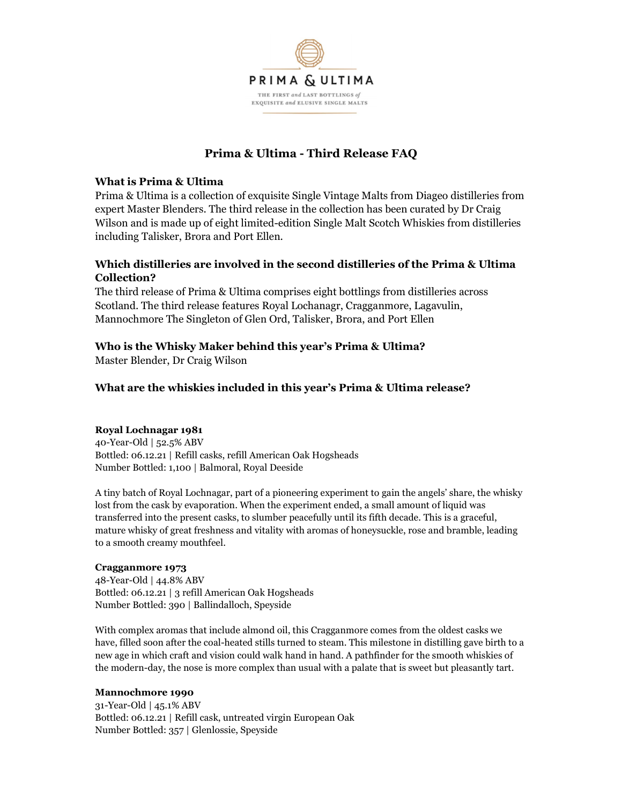

# Prima & Ultima - Third Release FAQ

### What is Prima & Ultima

Prima & Ultima is a collection of exquisite Single Vintage Malts from Diageo distilleries from expert Master Blenders. The third release in the collection has been curated by Dr Craig Wilson and is made up of eight limited-edition Single Malt Scotch Whiskies from distilleries including Talisker, Brora and Port Ellen.

## Which distilleries are involved in the second distilleries of the Prima & Ultima Collection?

The third release of Prima & Ultima comprises eight bottlings from distilleries across Scotland. The third release features Royal Lochanagr, Cragganmore, Lagavulin, Mannochmore The Singleton of Glen Ord, Talisker, Brora, and Port Ellen

## Who is the Whisky Maker behind this year's Prima & Ultima?

Master Blender, Dr Craig Wilson

## What are the whiskies included in this year's Prima & Ultima release?

### Royal Lochnagar 1981

40-Year-Old | 52.5% ABV Bottled: 06.12.21 | Refill casks, refill American Oak Hogsheads Number Bottled: 1,100 | Balmoral, Royal Deeside

A tiny batch of Royal Lochnagar, part of a pioneering experiment to gain the angels' share, the whisky lost from the cask by evaporation. When the experiment ended, a small amount of liquid was transferred into the present casks, to slumber peacefully until its fifth decade. This is a graceful, mature whisky of great freshness and vitality with aromas of honeysuckle, rose and bramble, leading to a smooth creamy mouthfeel.

### Cragganmore 1973

48-Year-Old | 44.8% ABV Bottled: 06.12.21 | 3 refill American Oak Hogsheads Number Bottled: 390 | Ballindalloch, Speyside

With complex aromas that include almond oil, this Cragganmore comes from the oldest casks we have, filled soon after the coal-heated stills turned to steam. This milestone in distilling gave birth to a new age in which craft and vision could walk hand in hand. A pathfinder for the smooth whiskies of the modern-day, the nose is more complex than usual with a palate that is sweet but pleasantly tart.

### Mannochmore 1990

31-Year-Old | 45.1% ABV Bottled: 06.12.21 | Refill cask, untreated virgin European Oak Number Bottled: 357 | Glenlossie, Speyside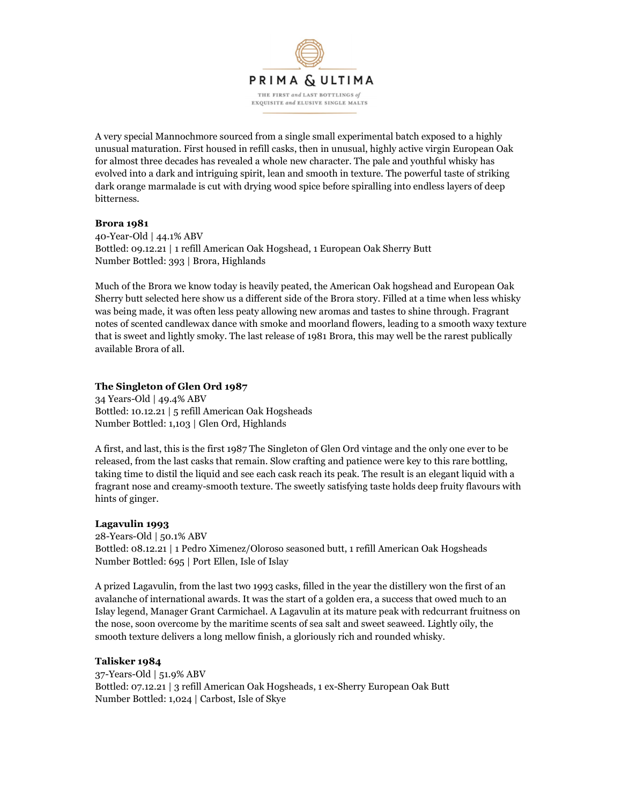

A very special Mannochmore sourced from a single small experimental batch exposed to a highly unusual maturation. First housed in refill casks, then in unusual, highly active virgin European Oak for almost three decades has revealed a whole new character. The pale and youthful whisky has evolved into a dark and intriguing spirit, lean and smooth in texture. The powerful taste of striking dark orange marmalade is cut with drying wood spice before spiralling into endless layers of deep bitterness.

#### Brora 1981

40-Year-Old | 44.1% ABV Bottled: 09.12.21 | 1 refill American Oak Hogshead, 1 European Oak Sherry Butt Number Bottled: 393 | Brora, Highlands

Much of the Brora we know today is heavily peated, the American Oak hogshead and European Oak Sherry butt selected here show us a different side of the Brora story. Filled at a time when less whisky was being made, it was often less peaty allowing new aromas and tastes to shine through. Fragrant notes of scented candlewax dance with smoke and moorland flowers, leading to a smooth waxy texture that is sweet and lightly smoky. The last release of 1981 Brora, this may well be the rarest publically available Brora of all.

#### The Singleton of Glen Ord 1987

34 Years-Old | 49.4% ABV Bottled: 10.12.21 | 5 refill American Oak Hogsheads Number Bottled: 1,103 | Glen Ord, Highlands

A first, and last, this is the first 1987 The Singleton of Glen Ord vintage and the only one ever to be released, from the last casks that remain. Slow crafting and patience were key to this rare bottling, taking time to distil the liquid and see each cask reach its peak. The result is an elegant liquid with a fragrant nose and creamy-smooth texture. The sweetly satisfying taste holds deep fruity flavours with hints of ginger.

#### Lagavulin 1993

28-Years-Old | 50.1% ABV Bottled: 08.12.21 | 1 Pedro Ximenez/Oloroso seasoned butt, 1 refill American Oak Hogsheads Number Bottled: 695 | Port Ellen, Isle of Islay

A prized Lagavulin, from the last two 1993 casks, filled in the year the distillery won the first of an avalanche of international awards. It was the start of a golden era, a success that owed much to an Islay legend, Manager Grant Carmichael. A Lagavulin at its mature peak with redcurrant fruitness on the nose, soon overcome by the maritime scents of sea salt and sweet seaweed. Lightly oily, the smooth texture delivers a long mellow finish, a gloriously rich and rounded whisky.

#### Talisker 1984

37-Years-Old | 51.9% ABV Bottled: 07.12.21 | 3 refill American Oak Hogsheads, 1 ex-Sherry European Oak Butt Number Bottled: 1,024 | Carbost, Isle of Skye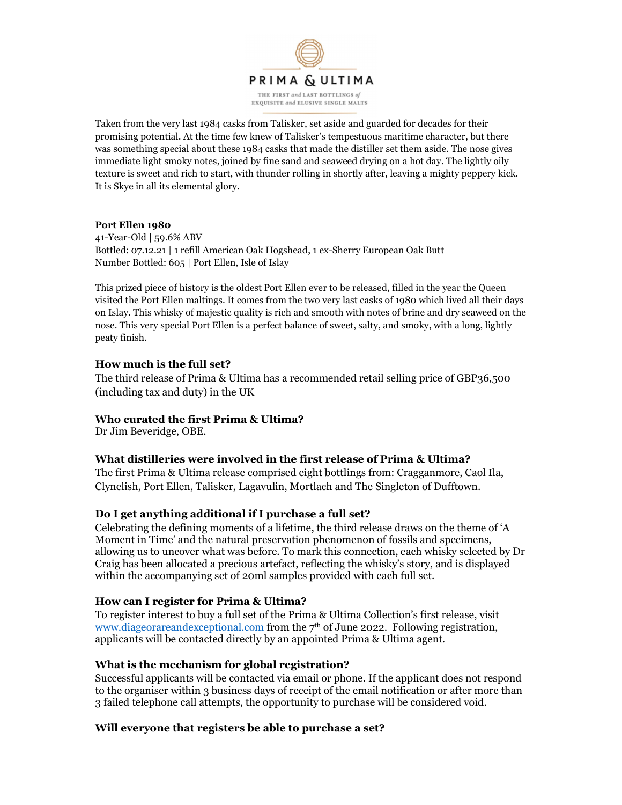

Taken from the very last 1984 casks from Talisker, set aside and guarded for decades for their promising potential. At the time few knew of Talisker's tempestuous maritime character, but there was something special about these 1984 casks that made the distiller set them aside. The nose gives immediate light smoky notes, joined by fine sand and seaweed drying on a hot day. The lightly oily texture is sweet and rich to start, with thunder rolling in shortly after, leaving a mighty peppery kick. It is Skye in all its elemental glory.

#### Port Ellen 1980

41-Year-Old | 59.6% ABV Bottled: 07.12.21 | 1 refill American Oak Hogshead, 1 ex-Sherry European Oak Butt Number Bottled: 605 | Port Ellen, Isle of Islay

This prized piece of history is the oldest Port Ellen ever to be released, filled in the year the Queen visited the Port Ellen maltings. It comes from the two very last casks of 1980 which lived all their days on Islay. This whisky of majestic quality is rich and smooth with notes of brine and dry seaweed on the nose. This very special Port Ellen is a perfect balance of sweet, salty, and smoky, with a long, lightly peaty finish.

### How much is the full set?

The third release of Prima & Ultima has a recommended retail selling price of GBP36,500 (including tax and duty) in the UK

### Who curated the first Prima & Ultima?

Dr Jim Beveridge, OBE.

### What distilleries were involved in the first release of Prima & Ultima?

The first Prima & Ultima release comprised eight bottlings from: Cragganmore, Caol Ila, Clynelish, Port Ellen, Talisker, Lagavulin, Mortlach and The Singleton of Dufftown.

### Do I get anything additional if I purchase a full set?

Celebrating the defining moments of a lifetime, the third release draws on the theme of 'A Moment in Time' and the natural preservation phenomenon of fossils and specimens, allowing us to uncover what was before. To mark this connection, each whisky selected by Dr Craig has been allocated a precious artefact, reflecting the whisky's story, and is displayed within the accompanying set of 20ml samples provided with each full set.

### How can I register for Prima & Ultima?

To register interest to buy a full set of the Prima & Ultima Collection's first release, visit www.diageorareandexceptional.com from the  $7<sup>th</sup>$  of June 2022. Following registration, applicants will be contacted directly by an appointed Prima & Ultima agent.

### What is the mechanism for global registration?

Successful applicants will be contacted via email or phone. If the applicant does not respond to the organiser within 3 business days of receipt of the email notification or after more than 3 failed telephone call attempts, the opportunity to purchase will be considered void.

### Will everyone that registers be able to purchase a set?